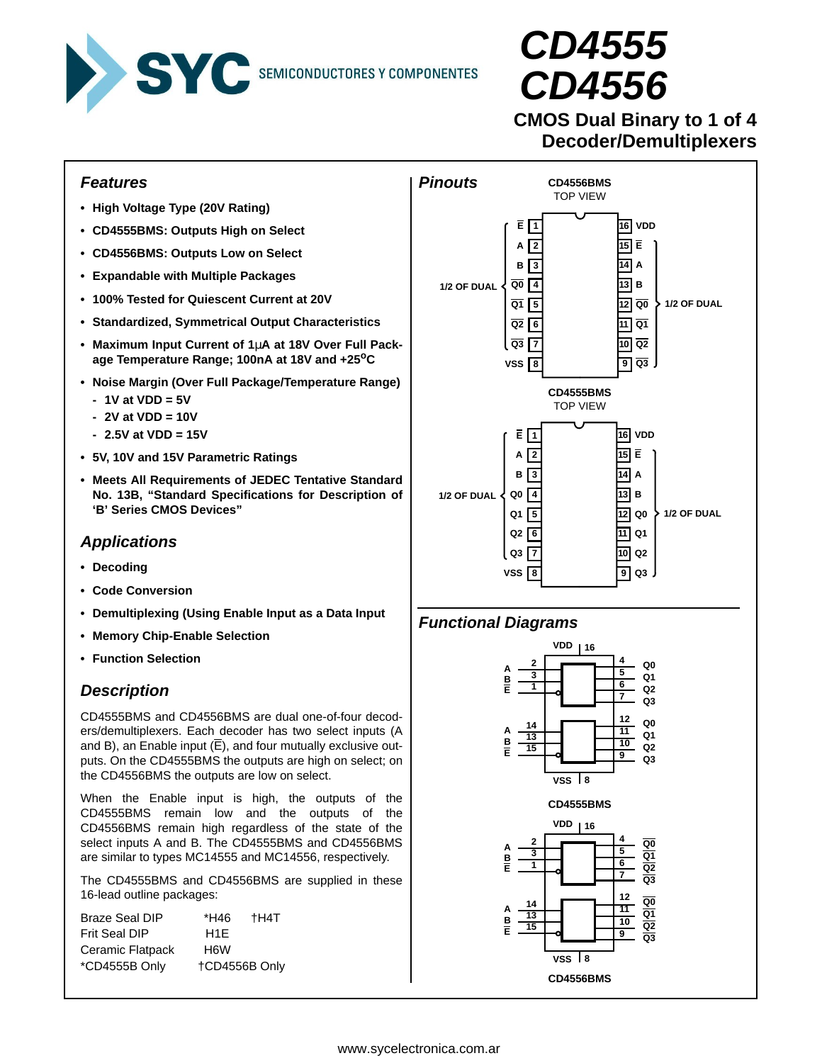

# **CD4555 CD4556**

# **CMOS Dual Binary to 1 of 4 Decoder/Demultiplexers**

# **Features**

- **High Voltage Type (20V Rating)**
- **CD4555BMS: Outputs High on Select**
- **CD4556BMS: Outputs Low on Select**
- **Expandable with Multiple Packages**
- **100% Tested for Quiescent Current at 20V**
- **Standardized, Symmetrical Output Characteristics**
- **Maximum Input Current of 1**µ**A at 18V Over Full Package Temperature Range; 100nA at 18V and +25oC**
- **Noise Margin (Over Full Package/Temperature Range)**
	- **1V at VDD = 5V**
	- **2V at VDD = 10V**
	- **2.5V at VDD = 15V**
- **5V, 10V and 15V Parametric Ratings**
- **Meets All Requirements of JEDEC Tentative Standard No. 13B, "Standard Specifications for Description of 'B' Series CMOS Devices"**

# **Applications**

- **Decoding**
- **Code Conversion**
- **Demultiplexing (Using Enable Input as a Data Input**
- **Memory Chip-Enable Selection**
- **Function Selection**

# **Description**

CD4555BMS and CD4556BMS are dual one-of-four decoders/demultiplexers. Each decoder has two select inputs (A and B), an Enable input  $(\overline{E})$ , and four mutually exclusive outputs. On the CD4555BMS the outputs are high on select; on the CD4556BMS the outputs are low on select.

When the Enable input is high, the outputs of the CD4555BMS remain low and the outputs of the CD4556BMS remain high regardless of the state of the select inputs A and B. The CD4555BMS and CD4556BMS are similar to types MC14555 and MC14556, respectively.

The CD4555BMS and CD4556BMS are supplied in these 16-lead outline packages:

| <b>Braze Seal DIP</b> | *H46          | †H4T |
|-----------------------|---------------|------|
| <b>Frit Seal DIP</b>  | H1F           |      |
| Ceramic Flatpack      | H6W           |      |
| *CD4555B Only         | +CD4556B Only |      |



# **Functional Diagrams**

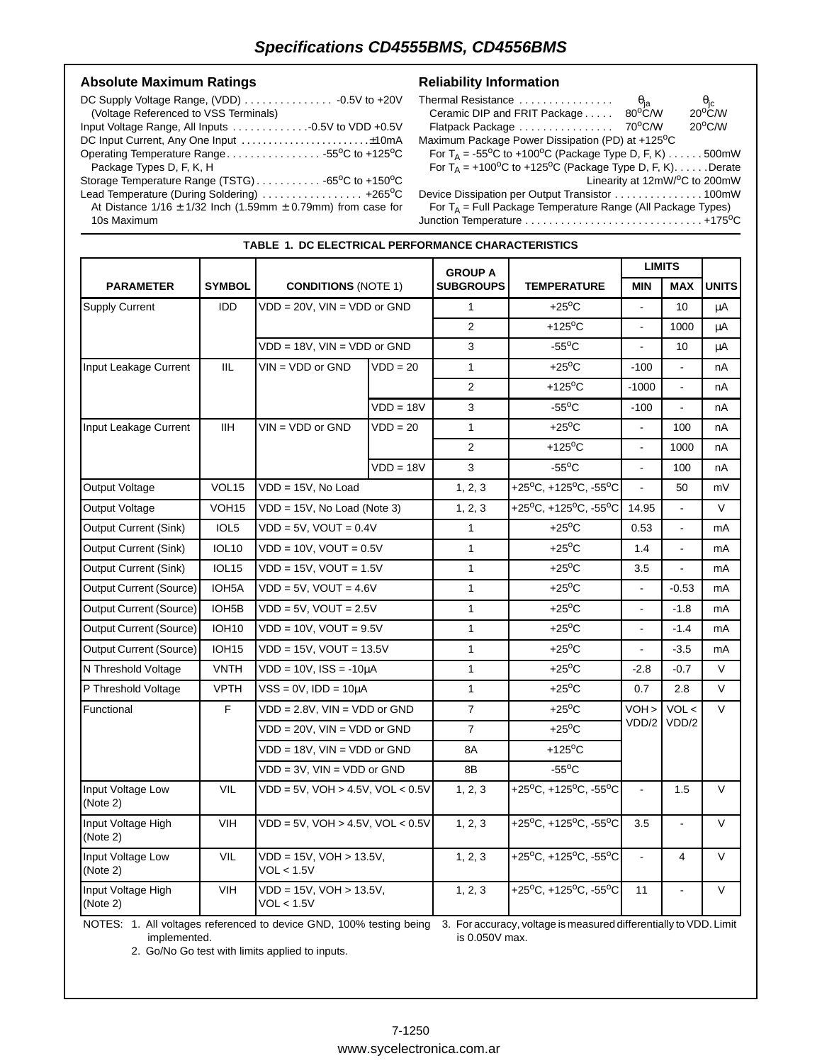**TABLE 1. DC ELECTRICAL PERFORMANCE CHARACTERISTICS**

#### Absolute Maximum Ratings **Reliability Information**

| (Voltage Referenced to VSS Terminals)                                                                   |  |
|---------------------------------------------------------------------------------------------------------|--|
|                                                                                                         |  |
|                                                                                                         |  |
| Operating Temperature Range55 <sup>o</sup> C to +125 <sup>o</sup> C                                     |  |
| Package Types D, F, K, H                                                                                |  |
| Storage Temperature Range (TSTG) $\ldots \ldots \ldots \ldots$ 65 <sup>o</sup> C to +150 <sup>o</sup> C |  |
| Lead Temperature (During Soldering)  +265°C                                                             |  |
| At Distance $1/16 \pm 1/32$ lnch (1.59mm $\pm$ 0.79mm) from case for                                    |  |
| 10s Maximum                                                                                             |  |

| Thermal Resistance                                                                          | $\theta_{\sf ja}$ | $\theta_{\rm jc}$             |
|---------------------------------------------------------------------------------------------|-------------------|-------------------------------|
| Ceramic DIP and FRIT Package                                                                | $80^{\circ}$ C/W  | $20^{\circ}$ C/W              |
| Flatpack Package                                                                            | 70°C/W            | $20^{\circ}$ C/W              |
| Maximum Package Power Dissipation (PD) at +125 <sup>o</sup> C                               |                   |                               |
| For T <sub>A</sub> = -55 <sup>o</sup> C to +100 <sup>o</sup> C (Package Type D, F, K) 500mW |                   |                               |
| For $T_A$ = +100 <sup>o</sup> C to +125 <sup>o</sup> C (Package Type D, F, K). Derate       |                   |                               |
|                                                                                             |                   | Linearity at 12mW/°C to 200mW |
|                                                                                             |                   |                               |
| For $T_A$ = Full Package Temperature Range (All Package Types)                              |                   |                               |

Junction Temperature . . . . . . . . . . . . . . . . . . . . . . . . . . . . . . +175oC

|                                |                    |                                          |             | <b>GROUP A</b>   |                                                             | <b>LIMITS</b>            |                |              |
|--------------------------------|--------------------|------------------------------------------|-------------|------------------|-------------------------------------------------------------|--------------------------|----------------|--------------|
| <b>PARAMETER</b>               | <b>SYMBOL</b>      | <b>CONDITIONS (NOTE 1)</b>               |             | <b>SUBGROUPS</b> | <b>TEMPERATURE</b>                                          | <b>MIN</b>               | <b>MAX</b>     | <b>UNITS</b> |
| <b>Supply Current</b>          | <b>IDD</b>         | $VDD = 20V$ , $VIN = VDD$ or $GND$       |             | $\mathbf{1}$     | $+25^{\circ}$ C                                             |                          | 10             | μA           |
|                                |                    |                                          |             | $\overline{2}$   | +125°C                                                      | $\blacksquare$           | 1000           | μA           |
|                                |                    | VDD = 18V, VIN = VDD or GND              |             | 3                | $-55^{\circ}$ C                                             | $\overline{a}$           | 10             | μA           |
| Input Leakage Current          | <b>IIL</b>         | $VIN = VDD$ or $GND$                     | $VDD = 20$  | $\mathbf{1}$     | $+25^{\circ}$ C                                             | $-100$                   | $\overline{a}$ | nA           |
|                                |                    |                                          |             | $\overline{2}$   | +125 $\mathrm{^{\circ}C}$                                   | $-1000$                  | ä,             | nA           |
|                                |                    |                                          | $VDD = 18V$ | 3                | $-55^{\circ}$ C                                             | $-100$                   | L.             | nA           |
| Input Leakage Current          | <b>IIH</b>         | $VIN = VDD$ or $GND$                     | $VDD = 20$  | $\mathbf{1}$     | $+25^{\circ}$ C                                             | $\blacksquare$           | 100            | nA           |
|                                |                    |                                          |             | $\overline{2}$   | +125 $\mathrm{^o}\mathrm{C}$                                |                          | 1000           | nA           |
|                                |                    |                                          | $VDD = 18V$ | 3                | $-55^{\circ}$ C                                             | $\blacksquare$           | 100            | nA           |
| Output Voltage                 | VOL <sub>15</sub>  | VDD = 15V, No Load                       |             | 1, 2, 3          | +25°C, +125°C, -55°C                                        | $\overline{a}$           | 50             | mV           |
| <b>Output Voltage</b>          | VOH <sub>15</sub>  | $VDD = 15V$ , No Load (Note 3)           |             | 1, 2, 3          | +25°C, +125°C, -55°C                                        | 14.95                    | ÷.             | $\vee$       |
| <b>Output Current (Sink)</b>   | IOL <sub>5</sub>   | $VDD = 5V$ , $VOUT = 0.4V$               |             | $\mathbf{1}$     | $+25^{\circ}$ C                                             | 0.53                     | ä,             | mA           |
| <b>Output Current (Sink)</b>   | <b>IOL10</b>       | $VDD = 10V$ , $VOUT = 0.5V$              |             | $\mathbf{1}$     | $+25^{\circ}$ C                                             | 1.4                      | ÷,             | mA           |
| <b>Output Current (Sink)</b>   | IOL <sub>15</sub>  | $VDD = 15V$ , $VOUT = 1.5V$              |             | $\mathbf{1}$     | $+25^{\circ}$ C                                             | 3.5                      | ä,             | mA           |
| Output Current (Source)        | IOH <sub>5</sub> A | $VDD = 5V$ , $VOUT = 4.6V$               |             | $\mathbf{1}$     | $+25^{\circ}$ C                                             |                          | $-0.53$        | mA           |
| Output Current (Source)        | IOH <sub>5</sub> B | $VDD = 5V$ , $VOUT = 2.5V$               |             | $\mathbf{1}$     | $+25^{\circ}$ C                                             | $\blacksquare$           | $-1.8$         | mA           |
| Output Current (Source)        | <b>IOH10</b>       | $VDD = 10V$ , $VOUT = 9.5V$              |             | $\mathbf{1}$     | $+25^{\circ}$ C                                             | $\overline{\phantom{a}}$ | $-1.4$         | mA           |
| <b>Output Current (Source)</b> | IOH <sub>15</sub>  | $VDD = 15V$ , $VOUT = 13.5V$             |             | $\mathbf{1}$     | $+25^{\circ}$ C                                             | $\blacksquare$           | $-3.5$         | mA           |
| N Threshold Voltage            | <b>VNTH</b>        | $VDD = 10V$ , $ISS = -10\mu A$           |             | $\mathbf{1}$     | $+25^{\circ}$ C                                             | $-2.8$                   | $-0.7$         | $\vee$       |
| P Threshold Voltage            | <b>VPTH</b>        | $VSS = 0V$ , $IDD = 10\mu A$             |             | $\mathbf{1}$     | $+25^{\circ}$ C                                             | 0.7                      | 2.8            | $\vee$       |
| Functional                     | F                  | $VDD = 2.8V$ , $VIN = VDD$ or $GND$      |             | $\overline{7}$   | $+25^{\circ}$ C                                             | VOH                      | VOL <          | $\vee$       |
|                                |                    | VDD = 20V, VIN = VDD or GND              |             | $\overline{7}$   | $+25^{\circ}$ C                                             | VDD/2                    | VDD/2          |              |
|                                |                    | VDD = 18V, VIN = VDD or GND              |             | 8A               | +125 $\mathrm{^o}\mathrm{C}$                                |                          |                |              |
|                                |                    | $VDD = 3V$ , $VIN = VDD$ or $GND$        |             | 8B               | $-55^{\circ}$ C                                             |                          |                |              |
| Input Voltage Low<br>(Note 2)  | VIL                | $VDD = 5V$ , $VOH > 4.5V$ , $VOL < 0.5V$ |             | 1, 2, 3          | +25°C, +125°C, -55°C                                        | $\blacksquare$           | 1.5            | $\vee$       |
| Input Voltage High<br>(Note 2) | <b>VIH</b>         | $VDD = 5V$ , $VOH > 4.5V$ , $VOL < 0.5V$ |             | 1, 2, 3          | +25°C, +125°C, -55°C                                        | 3.5                      | ÷.             | $\vee$       |
| Input Voltage Low<br>(Note 2)  | VIL                | VDD = 15V, VOH > 13.5V,<br>VOL < 1.5V    |             | 1, 2, 3          | +25°C, +125°C, -55°C                                        |                          | 4              | $\vee$       |
| Input Voltage High<br>(Note 2) | <b>VIH</b>         | VDD = 15V, VOH > 13.5V,<br>VOL < 1.5V    |             | 1, 2, 3          | +25 <sup>o</sup> C, +125 <sup>o</sup> C, -55 <sup>o</sup> C | 11                       |                | $\vee$       |

NOTES: 1. All voltages referenced to device GND, 100% testing being 3. For accuracy, voltage is measured differentially to VDD. Limit implemented. is 0.050V max.

2. Go/No Go test with limits applied to inputs.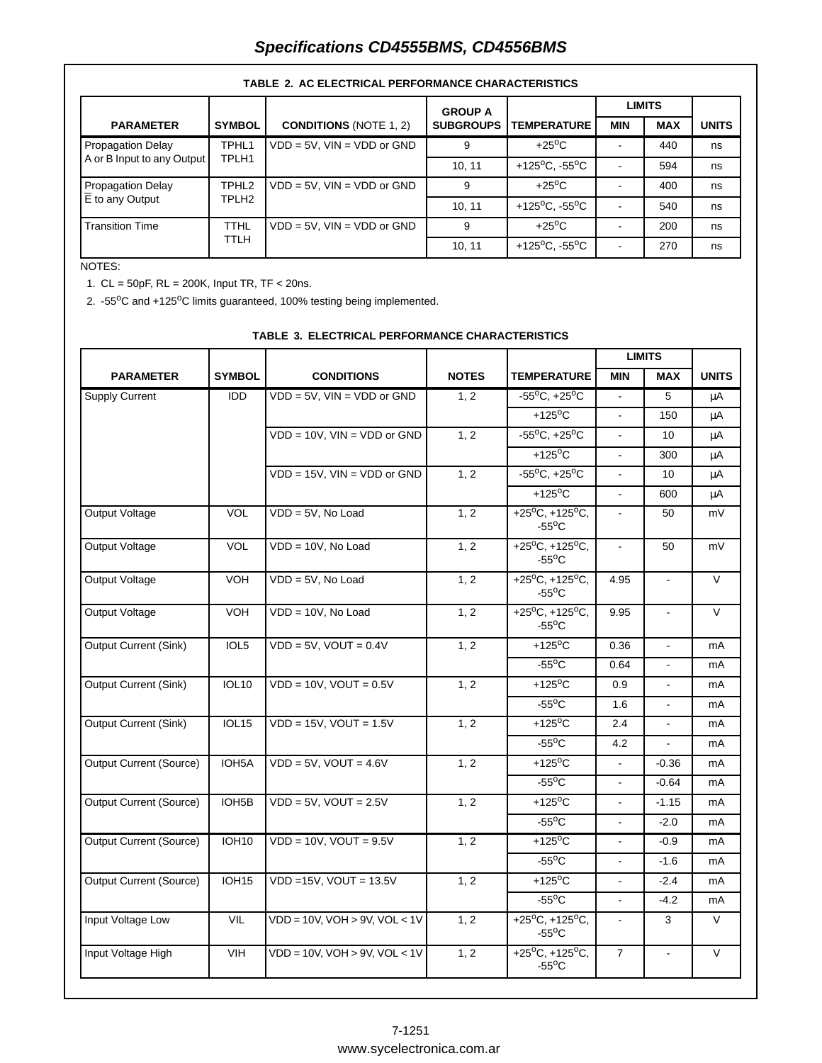# **Specifications CD4555BMS, CD4556BMS**

|                                       |                   |                                   | <b>GROUP A</b>   |                                                      |            | <b>LIMITS</b> |              |  |
|---------------------------------------|-------------------|-----------------------------------|------------------|------------------------------------------------------|------------|---------------|--------------|--|
| <b>PARAMETER</b>                      | <b>SYMBOL</b>     | <b>CONDITIONS (NOTE 1, 2)</b>     | <b>SUBGROUPS</b> | <b>TEMPERATURE</b>                                   | <b>MIN</b> | <b>MAX</b>    | <b>UNITS</b> |  |
| <b>Propagation Delay</b>              | TPHL <sub>1</sub> | $VDD = 5V$ , $VIN = VDD$ or GND   | 9                | $+25^{\circ}$ C                                      |            | 440           | ns           |  |
| A or B Input to any Output            | TPLH1             |                                   | 10.11            | +125 <sup>o</sup> C. -55 <sup>o</sup> C              |            | 594           | ns           |  |
| <b>Propagation Delay</b>              | TPHL <sub>2</sub> | $VDD = 5V$ , $VIN = VDD$ or $GND$ | 9                | $+25^{\circ}$ C                                      |            | 400           | ns           |  |
| $\overline{\mathsf{E}}$ to any Output | TPLH <sub>2</sub> |                                   | 10.11            | +125 <sup>o</sup> C. -55 <sup>o</sup> C              |            | 540           | ns           |  |
| <b>Transition Time</b>                | <b>TTHL</b>       | $VDD = 5V$ , $VIN = VDD$ or $GND$ | 9                | $+25^{\circ}$ C                                      |            | 200           | ns           |  |
|                                       | TTLH              |                                   | 10, 11           | +125 $\mathrm{^{\circ}C}$ , -55 $\mathrm{^{\circ}C}$ |            | 270           | ns           |  |

#### **TABLE 2. AC ELECTRICAL PERFORMANCE CHARACTERISTICS**

#### NOTES:

1. CL = 50pF, RL = 200K, Input TR, TF < 20ns.

2. -55°C and +125°C limits guaranteed, 100% testing being implemented.

|                                |                                    |                                       |              |                                                             |                | <b>LIMITS</b>             |              |
|--------------------------------|------------------------------------|---------------------------------------|--------------|-------------------------------------------------------------|----------------|---------------------------|--------------|
| <b>PARAMETER</b>               | <b>SYMBOL</b>                      | <b>CONDITIONS</b>                     | <b>NOTES</b> | <b>TEMPERATURE</b>                                          | <b>MIN</b>     | <b>MAX</b>                | <b>UNITS</b> |
| <b>Supply Current</b>          | IDD                                | $VDD = 5V$ , $VIN = VDD$ or $GND$     | 1, 2         | $-55^{\circ}$ C, $+25^{\circ}$ C                            | $\mathbf{r}$   | 5                         | μA           |
|                                |                                    |                                       |              | $+125$ <sup>o</sup> C                                       | $\overline{a}$ | 150                       | μA           |
|                                |                                    | $VDD = 10V$ , $VIN = VDD$ or $GND$    | 1, 2         | $-55^{\circ}$ C. $+25^{\circ}$ C                            |                | 10                        | μA           |
|                                |                                    |                                       |              | $+125$ <sup>o</sup> C                                       | $\blacksquare$ | 300                       | μA           |
|                                |                                    | $VDD = 15V$ , $VIN = VDD$ or $GND$    | 1, 2         | $-55^{\circ}$ C, $+25^{\circ}$ C                            | ÷.             | 10                        | μA           |
|                                |                                    |                                       |              | $+125^{\circ}$ C                                            |                | 600                       | μA           |
| Output Voltage                 | VOL                                | $VDD = 5V$ , No Load                  | 1, 2         | +25 $^{\circ}$ C, +125 $^{\circ}$ C,<br>$-55^{\circ}$ C     | $\blacksquare$ | 50                        | mV           |
| Output Voltage                 | <b>VOL</b>                         | $VDD = 10V$ , No Load                 | 1, 2         | +25 $^{\circ}$ C, +125 $^{\circ}$ C,<br>$-55^{\circ}$ C     |                | 50                        | mV           |
| Output Voltage                 | <b>VOH</b>                         | $VDD = 5V$ . No Load                  | 1, 2         | $+25^{\circ}C, +125^{\circ}C,$<br>$-55^{\circ}$ C           | 4.95           | $\Box$                    | $\vee$       |
| Output Voltage                 | <b>VOH</b>                         | $VDD = 10V$ , No Load                 | 1, 2         | +25 <sup>o</sup> C, +125 <sup>o</sup> C,<br>$-55^{\circ}$ C | 9.95           | $\mathbf{r}$              | $\vee$       |
| Output Current (Sink)          | $VDD = 5V$ , $VOUT = 0.4V$<br>IOL5 |                                       | 1, 2         | $+125$ <sup>o</sup> C                                       | 0.36           | $\blacksquare$            | mA           |
|                                |                                    |                                       |              | $-55^{\circ}$ C                                             | 0.64           |                           | mA           |
| Output Current (Sink)          | <b>IOL10</b>                       | $VDD = 10V$ , $VOUT = 0.5V$           | 1, 2         | $+125$ <sup>o</sup> C                                       | 0.9            | $\blacksquare$            | mA           |
|                                |                                    |                                       |              | $-55^{\circ}$ C                                             | 1.6            | $\blacksquare$            | mA           |
| <b>Output Current (Sink)</b>   | <b>IOL15</b>                       | $VDD = 15V$ , $VOUT = 1.5V$           | 1, 2         | $+125$ <sup>o</sup> C                                       | 2.4            | $\mathbb{Z}^{\mathbb{Z}}$ | mA           |
|                                |                                    |                                       |              | $-55^{\circ}$ C                                             | 4.2            |                           | mA           |
| <b>Output Current (Source)</b> | IOH <sub>5</sub> A                 | $VDD = 5V$ , $VOUT = 4.6V$            | 1, 2         | $+125$ <sup>o</sup> C                                       | $\mathbf{r}$   | $-0.36$                   | mA           |
|                                |                                    |                                       |              | $-55^{\circ}$ C                                             | $\blacksquare$ | $-0.64$                   | mA           |
| <b>Output Current (Source)</b> | IOH <sub>5</sub> B                 | $VDD = 5V$ , $VOUT = 2.5V$            | 1, 2         | $+125^{\circ}$ C                                            |                | $-1.15$                   | mA           |
|                                |                                    |                                       |              | $-55^{\circ}$ C                                             | $\blacksquare$ | $-2.0$                    | mA           |
| <b>Output Current (Source)</b> | <b>IOH10</b>                       | $VDD = 10V$ , $VOUT = 9.5V$           | 1, 2         | +125 $\mathrm{^oC}$                                         | $\blacksquare$ | $-0.9$                    | mA           |
|                                |                                    |                                       |              | $-55^{\circ}$ C                                             | $\mathbf{r}$   | $-1.6$                    | mA           |
| <b>Output Current (Source)</b> | <b>IOH15</b>                       | $VDD = 15V$ , $VOUT = 13.5V$          | 1, 2         | $+125$ <sup>o</sup> C                                       |                | $-2.4$                    | mA           |
|                                |                                    |                                       |              | $-55^{\circ}$ C                                             | $\blacksquare$ | $-4.2$                    | mA           |
| Input Voltage Low              | <b>VIL</b>                         | $VDD = 10V$ , $VOH > 9V$ , $VOL < 1V$ | 1, 2         | +25 <sup>o</sup> C, +125 <sup>o</sup> C,<br>$-55^{\circ}$ C | $\blacksquare$ | 3                         | $\vee$       |
| Input Voltage High             | <b>VIH</b>                         | $VDD = 10V$ , $VOH > 9V$ , $VOL < 1V$ | 1, 2         | $+25^{\circ}$ C, +125°C,<br>$-55^{\circ}$ C                 | $\overline{7}$ | $\blacksquare$            | V            |

#### **TABLE 3. ELECTRICAL PERFORMANCE CHARACTERISTICS**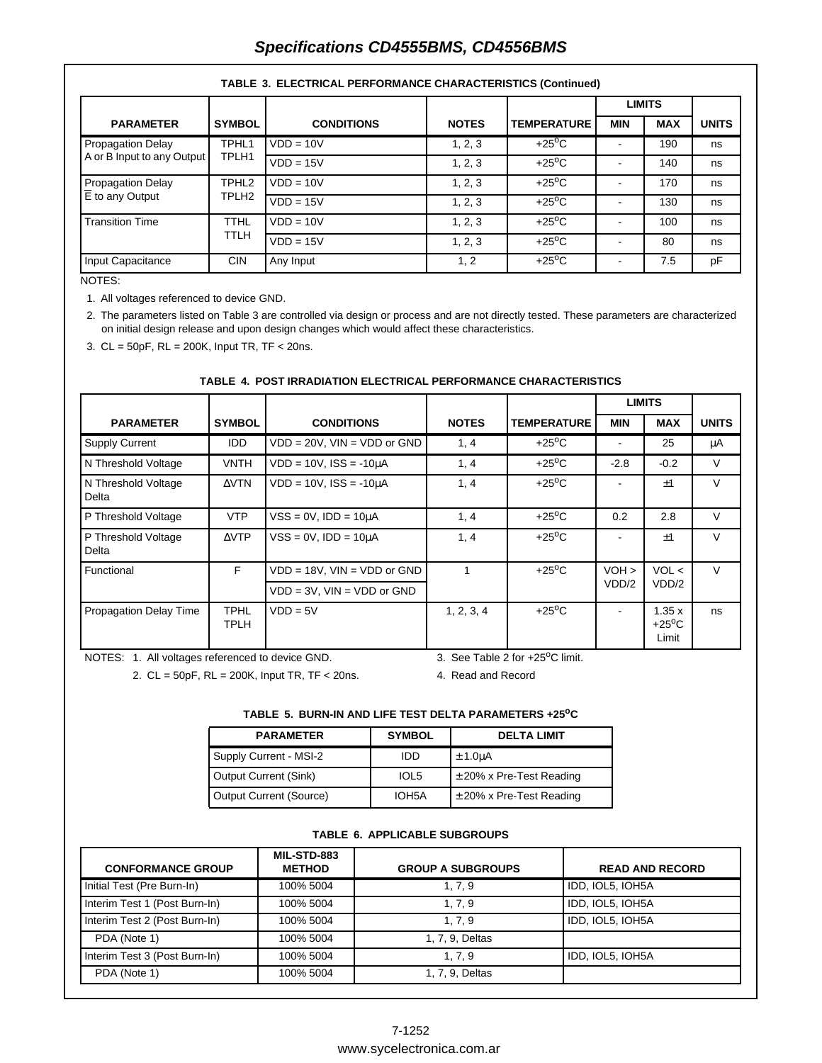# **Specifications CD4555BMS, CD4556BMS**

|                              |                            |                   |              |                    |            | <b>LIMITS</b> |              |
|------------------------------|----------------------------|-------------------|--------------|--------------------|------------|---------------|--------------|
| <b>PARAMETER</b>             | <b>SYMBOL</b>              | <b>CONDITIONS</b> | <b>NOTES</b> | <b>TEMPERATURE</b> | <b>MIN</b> | <b>MAX</b>    | <b>UNITS</b> |
| <b>Propagation Delay</b>     | TPHL1                      | $VDD = 10V$       | 1, 2, 3      | $+25^{\circ}$ C    |            | 190           | ns           |
| A or B Input to any Output   | TPLH1                      | $VDD = 15V$       | 1, 2, 3      | $+25^{\circ}$ C    |            | 140           | ns           |
| <b>Propagation Delay</b>     | TPHL <sub>2</sub>          | $VDD = 10V$       | 1, 2, 3      | $+25^{\circ}$ C    |            | 170           | ns           |
| $\overline{E}$ to any Output | TPLH <sub>2</sub>          | $VDD = 15V$       | 1, 2, 3      | $+25^{\circ}$ C    |            | 130           | ns           |
| <b>Transition Time</b>       | <b>TTHL</b><br><b>TTLH</b> | $VDD = 10V$       | 1, 2, 3      | $+25^{\circ}$ C    |            | 100           | ns           |
|                              |                            | $VDD = 15V$       | 1, 2, 3      | $+25^{\circ}$ C    |            | 80            | ns           |
| Input Capacitance            | <b>CIN</b>                 | Any Input         | 1, 2         | $+25^{\circ}$ C    |            | 7.5           | pF           |

#### **TABLE 3. ELECTRICAL PERFORMANCE CHARACTERISTICS (Continued)**

#### NOTES:

1. All voltages referenced to device GND.

2. The parameters listed on Table 3 are controlled via design or process and are not directly tested. These parameters are characterized on initial design release and upon design changes which would affect these characteristics.

3. CL = 50pF, RL = 200K, Input TR, TF < 20ns.

#### **TABLE 4. POST IRRADIATION ELECTRICAL PERFORMANCE CHARACTERISTICS**

|                               |                            |                                    |              |                    |            | <b>LIMITS</b>                     |              |
|-------------------------------|----------------------------|------------------------------------|--------------|--------------------|------------|-----------------------------------|--------------|
| <b>PARAMETER</b>              | <b>SYMBOL</b>              | <b>CONDITIONS</b>                  | <b>NOTES</b> | <b>TEMPERATURE</b> | <b>MIN</b> | <b>MAX</b>                        | <b>UNITS</b> |
| <b>Supply Current</b>         | <b>IDD</b>                 | $VDD = 20V$ , $VIN = VDD$ or $GND$ | 1, 4         | $+25^{\circ}$ C    |            | 25                                | μA           |
| N Threshold Voltage           | <b>VNTH</b>                | $VDD = 10V$ , $ISS = -10\mu A$     | 1, 4         | $+25^{\circ}$ C    | $-2.8$     | $-0.2$                            | $\vee$       |
| N Threshold Voltage<br>Delta  | $\triangle VTN$            | $VDD = 10V$ , $ISS = -10\mu A$     | 1, 4         | $+25^{\circ}$ C    |            | $+1$                              | $\vee$       |
| P Threshold Voltage           | <b>VTP</b>                 | $VSS = 0V$ , $IDD = 10\mu A$       | 1, 4         | $+25^{\circ}$ C    | 0.2        | 2.8                               | $\vee$       |
| P Threshold Voltage<br>Delta  | $\triangle VTP$            | $VSS = 0V$ , $IDD = 10\mu A$       | 1, 4         | $+25^{\circ}$ C    |            | ±1                                | $\vee$       |
| Functional                    | F.                         | $VDD = 18V$ , $VIN = VDD$ or $GND$ | 1            | $+25^{\circ}$ C    | $VOH$ >    | VOL <                             | $\vee$       |
|                               |                            | $VDD = 3V$ , $VIN = VDD$ or $GND$  |              |                    | VDD/2      | VDD/2                             |              |
| <b>Propagation Delay Time</b> | <b>TPHL</b><br><b>TPLH</b> | $VDD = 5V$                         | 1, 2, 3, 4   | $+25^{\circ}$ C    |            | 1.35x<br>$+25^{\circ}$ C<br>Limit | ns           |

NOTES: 1. All voltages referenced to device GND.

3. See Table 2 for  $+25^{\circ}$ C limit.

2. CL = 50pF, RL = 200K, Input TR, TF < 20ns.

4. Read and Record

#### TABLE 5. BURN-IN AND LIFE TEST DELTA PARAMETERS +25<sup>o</sup>C

| <b>PARAMETER</b>        | <b>SYMBOL</b>      | <b>DELTA LIMIT</b>           |
|-------------------------|--------------------|------------------------------|
| Supply Current - MSI-2  | IDD                | $\pm$ 1.0uA                  |
| Output Current (Sink)   | IOL5               | $\pm$ 20% x Pre-Test Reading |
| Output Current (Source) | IOH <sub>5</sub> A | $\pm$ 20% x Pre-Test Reading |

#### **TABLE 6. APPLICABLE SUBGROUPS**

| <b>CONFORMANCE GROUP</b>      | MIL-STD-883<br><b>METHOD</b> | <b>GROUP A SUBGROUPS</b> | <b>READ AND RECORD</b> |
|-------------------------------|------------------------------|--------------------------|------------------------|
| Initial Test (Pre Burn-In)    | 100% 5004                    | 1, 7, 9                  | IDD, IOL5, IOH5A       |
| Interim Test 1 (Post Burn-In) | 100% 5004                    | 1, 7, 9                  | IDD, IOL5, IOH5A       |
| Interim Test 2 (Post Burn-In) | 100% 5004                    | 1, 7, 9                  | IDD, IOL5, IOH5A       |
| PDA (Note 1)                  | 100% 5004                    | 1, 7, 9, Deltas          |                        |
| Interim Test 3 (Post Burn-In) | 100% 5004                    | 1, 7, 9                  | IDD, IOL5, IOH5A       |
| PDA (Note 1)                  | 100% 5004                    | 1, 7, 9, Deltas          |                        |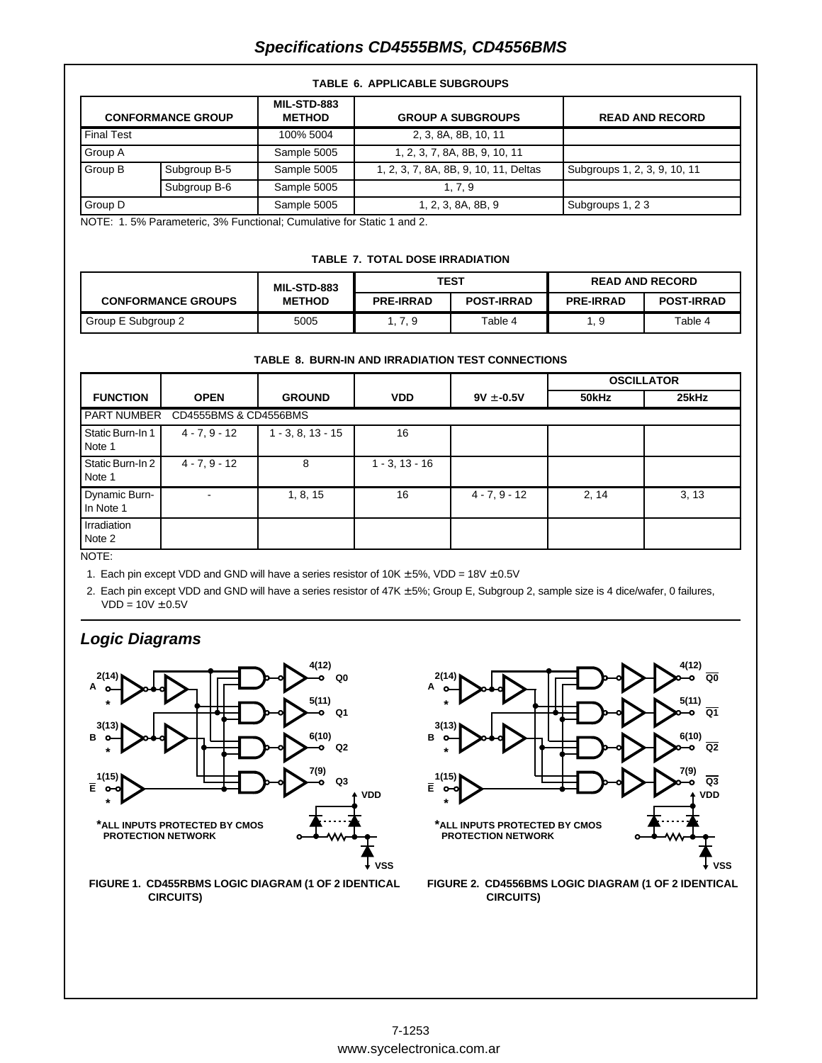# **Specifications CD4555BMS, CD4556BMS**

|  | <b>TABLE 6. APPLICABLE SUBGROUPS</b> |
|--|--------------------------------------|
|  |                                      |

| <b>CONFORMANCE GROUP</b> |              | <b>MIL-STD-883</b><br><b>METHOD</b> | <b>GROUP A SUBGROUPS</b>              | <b>READ AND RECORD</b>       |
|--------------------------|--------------|-------------------------------------|---------------------------------------|------------------------------|
| <b>Final Test</b>        |              | 100% 5004                           | 2, 3, 8A, 8B, 10, 11                  |                              |
| Group A                  |              | Sample 5005                         | 1, 2, 3, 7, 8A, 8B, 9, 10, 11         |                              |
| Group B                  | Subgroup B-5 | Sample 5005                         | 1, 2, 3, 7, 8A, 8B, 9, 10, 11, Deltas | Subgroups 1, 2, 3, 9, 10, 11 |
|                          | Subgroup B-6 | Sample 5005                         | 1, 7, 9                               |                              |
| Group D                  |              | Sample 5005                         | 1, 2, 3, 8A, 8B, 9                    | Subgroups 1, 23              |

NOTE: 1. 5% Parameteric, 3% Functional; Cumulative for Static 1 and 2.

#### **TABLE 7. TOTAL DOSE IRRADIATION**

|                           | MIL-STD-883   |                  | TEST              | <b>READ AND RECORD</b> |                   |  |  |
|---------------------------|---------------|------------------|-------------------|------------------------|-------------------|--|--|
| <b>CONFORMANCE GROUPS</b> | <b>METHOD</b> | <b>PRE-IRRAD</b> | <b>POST-IRRAD</b> | <b>PRE-IRRAD</b>       | <b>POST-IRRAD</b> |  |  |
| Group E Subgroup 2        | 5005          | . 7.9            | Table 4           | . 9                    | Table 4           |  |  |

|  |  |  | TABLE 8. BURN-IN AND IRRADIATION TEST CONNECTIONS |
|--|--|--|---------------------------------------------------|
|  |  |  |                                                   |

|                                             |                 |                     |                     |                 |       | <b>OSCILLATOR</b> |  |  |  |  |  |  |
|---------------------------------------------|-----------------|---------------------|---------------------|-----------------|-------|-------------------|--|--|--|--|--|--|
| <b>FUNCTION</b>                             | <b>OPEN</b>     | <b>GROUND</b>       | <b>VDD</b>          | $9V \pm -0.5V$  | 50kHz | 25kHz             |  |  |  |  |  |  |
| <b>PART NUMBER</b><br>CD4555BMS & CD4556BMS |                 |                     |                     |                 |       |                   |  |  |  |  |  |  |
| Static Burn-In 1<br>Note 1                  | $4 - 7, 9 - 12$ | $1 - 3, 8, 13 - 15$ | 16                  |                 |       |                   |  |  |  |  |  |  |
| Static Burn-In 2<br>Note 1                  | $4 - 7, 9 - 12$ | 8                   | $1 - 3$ , $13 - 16$ |                 |       |                   |  |  |  |  |  |  |
| <b>Dynamic Burn-</b><br>In Note 1           |                 | 1, 8, 15            | 16                  | $4 - 7, 9 - 12$ | 2, 14 | 3, 13             |  |  |  |  |  |  |
| Irradiation<br>Note 2                       |                 |                     |                     |                 |       |                   |  |  |  |  |  |  |

NOTE:

1. Each pin except VDD and GND will have a series resistor of  $10K \pm 5\%$ , VDD =  $18V \pm 0.5V$ 

2. Each pin except VDD and GND will have a series resistor of 47K ± 5%; Group E, Subgroup 2, sample size is 4 dice/wafer, 0 failures,  $VDD = 10V \pm 0.5V$ 

# **Logic Diagrams**



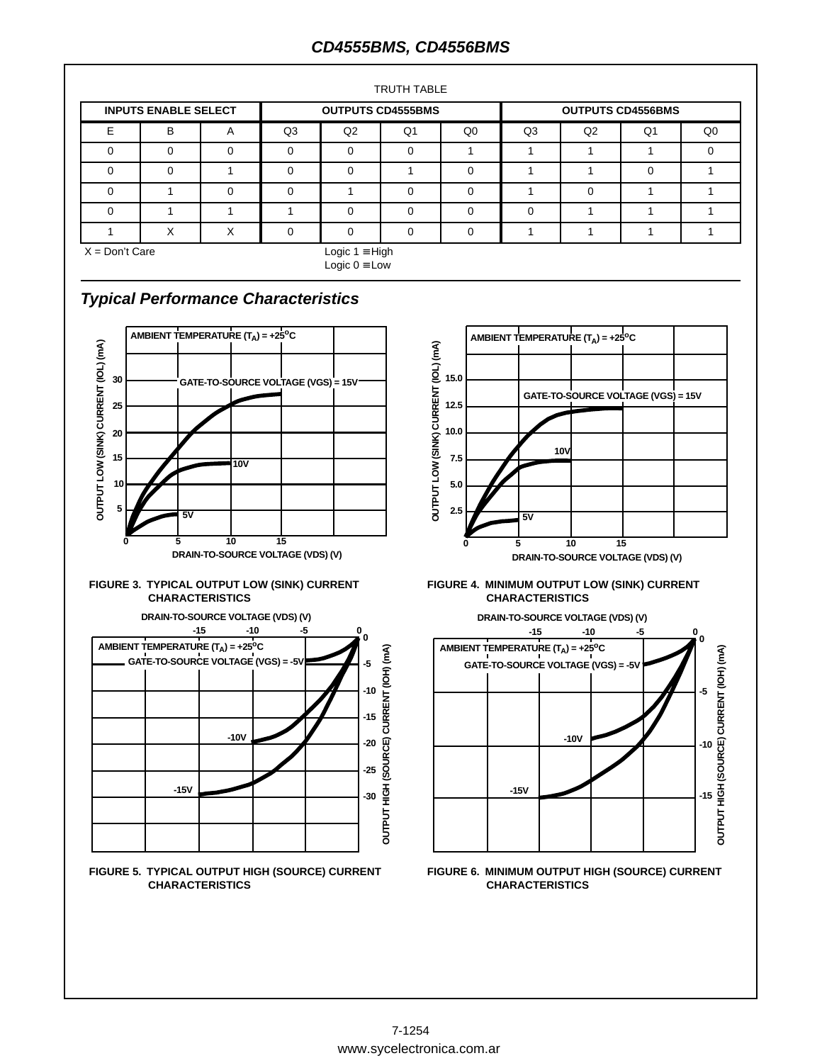# **CD4555BMS, CD4556BMS**

| TRUTH TABLE                 |   |   |                |                                               |          |                |                          |          |          |    |  |  |
|-----------------------------|---|---|----------------|-----------------------------------------------|----------|----------------|--------------------------|----------|----------|----|--|--|
| <b>INPUTS ENABLE SELECT</b> |   |   |                | <b>OUTPUTS CD4555BMS</b>                      |          |                | <b>OUTPUTS CD4556BMS</b> |          |          |    |  |  |
| F                           | B | A | Q <sub>3</sub> | Q2                                            | Q1       | Q <sub>0</sub> | Q3                       | Q2       | Q1       | Q0 |  |  |
| $\Omega$                    | 0 |   | $\Omega$       | $\Omega$                                      | $\Omega$ |                |                          |          |          |    |  |  |
| $\Omega$                    | 0 |   | 0              | $\Omega$                                      |          | $\Omega$       |                          |          | $\Omega$ |    |  |  |
| $\Omega$                    |   | 0 | 0              |                                               | $\Omega$ | $\Omega$       |                          | $\Omega$ |          |    |  |  |
| $\Omega$                    |   |   |                | $\Omega$                                      | $\Omega$ | $\Omega$       | $\Omega$                 |          |          |    |  |  |
|                             | X | X | 0              | $\Omega$                                      | $\Omega$ | 0              |                          |          |          |    |  |  |
| $X = Don't Care$            |   |   |                | Logic $1 \equiv$ High<br>Logic $0 \equiv$ Low |          |                |                          |          |          |    |  |  |

# **Typical Performance Characteristics**















**CHARACTERISTICS**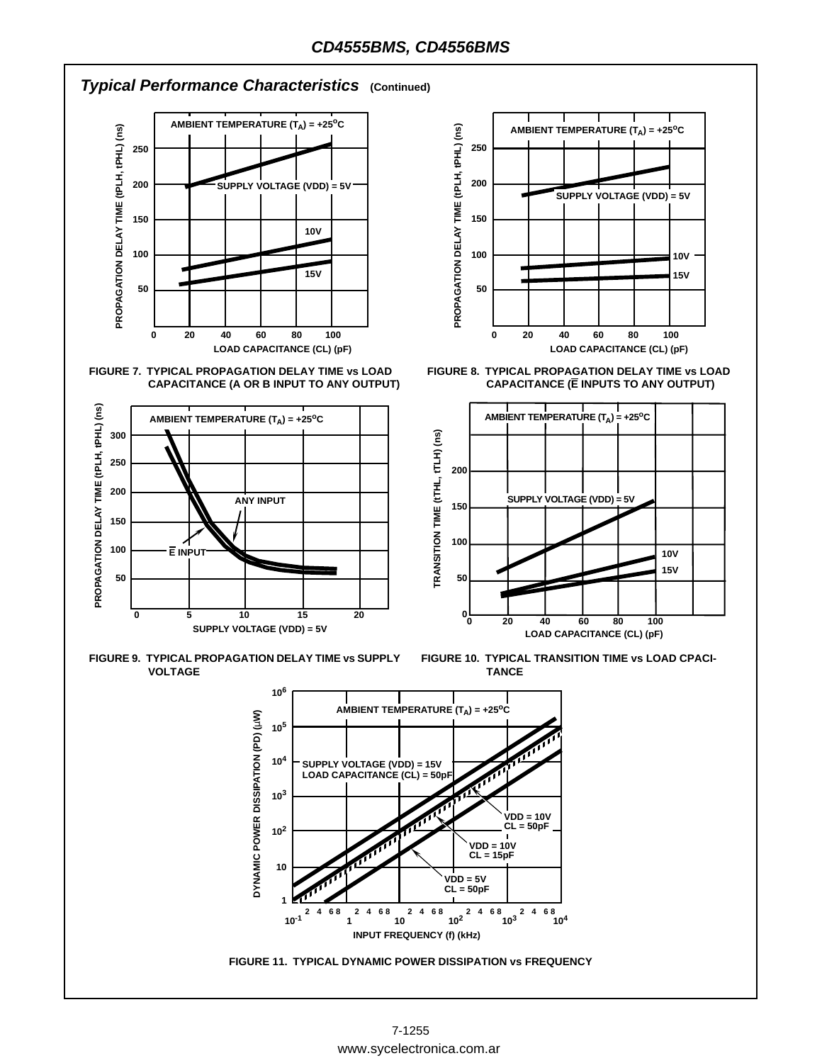

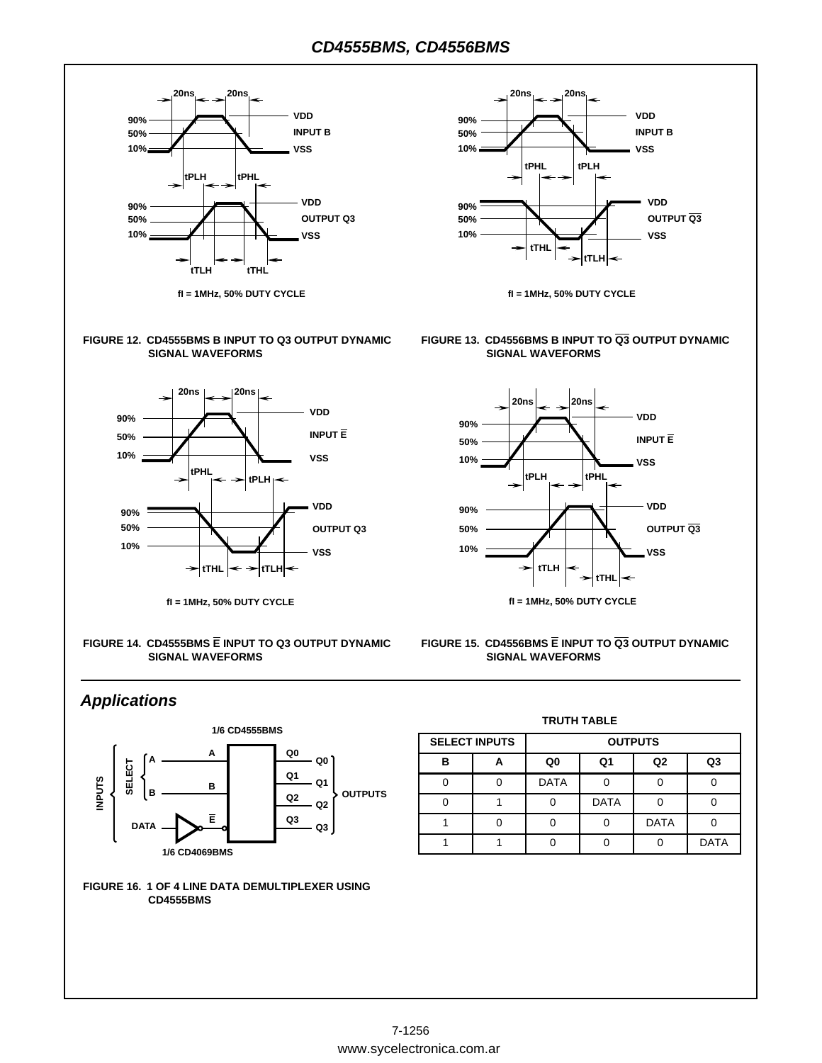

**fI = 1MHz, 50% DUTY CYCLE**

#### **FIGURE 12. CD4555BMS B INPUT TO Q3 OUTPUT DYNAMIC SIGNAL WAVEFORMS**



**fI = 1MHz, 50% DUTY CYCLE**

**FIGURE 14. CD4555BMS E INPUT TO Q3 OUTPUT DYNAMIC SIGNAL WAVEFORMS**



**fI = 1MHz, 50% DUTY CYCLE**

#### **FIGURE 13. CD4556BMS B INPUT TO Q3 OUTPUT DYNAMIC SIGNAL WAVEFORMS**



#### **FIGURE 15. CD4556BMS E INPUT TO Q3 OUTPUT DYNAMIC SIGNAL WAVEFORMS**

## **Applications**





#### **TRUTH TABLE**

|   | <b>SELECT INPUTS</b> | <b>OUTPUTS</b> |             |             |                |  |  |  |  |  |
|---|----------------------|----------------|-------------|-------------|----------------|--|--|--|--|--|
| R |                      | Q0             | Q1          | Q2          | Q <sub>3</sub> |  |  |  |  |  |
|   |                      | <b>DATA</b>    |             |             |                |  |  |  |  |  |
|   |                      |                | <b>DATA</b> |             |                |  |  |  |  |  |
|   |                      |                |             | <b>DATA</b> |                |  |  |  |  |  |
|   |                      |                |             |             | <b>DATA</b>    |  |  |  |  |  |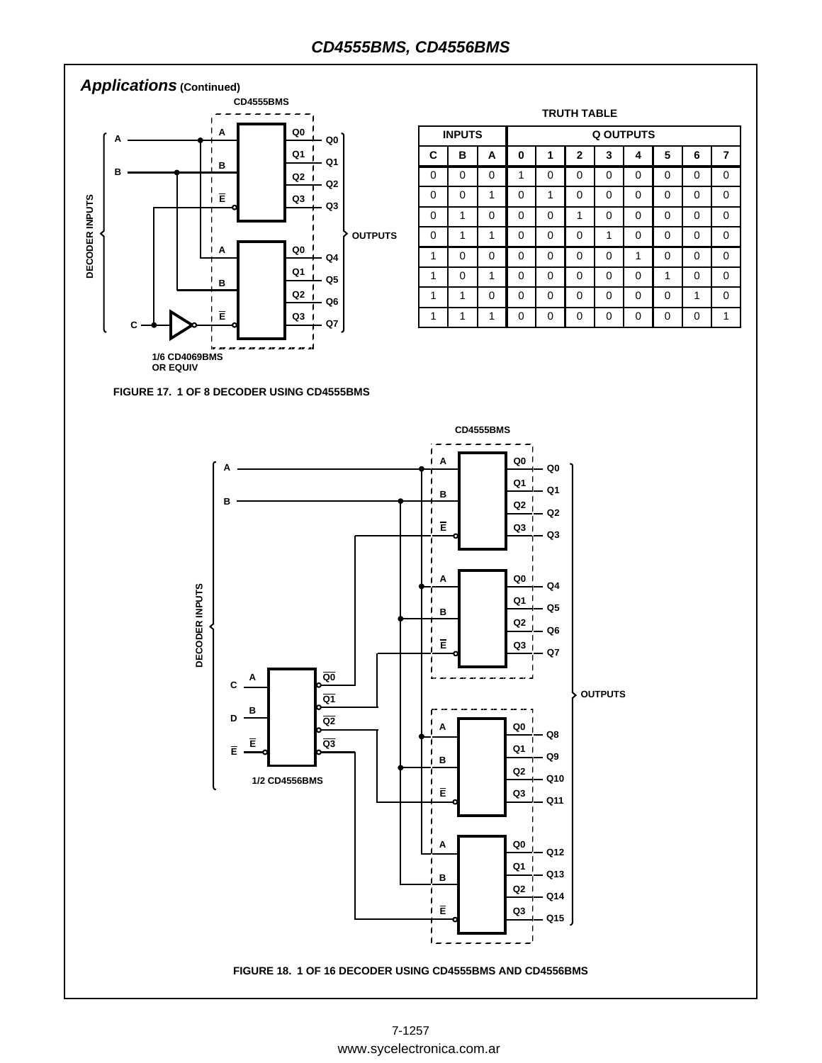### **CD4555BMS, CD4556BMS**



|   | <b>INPUTS</b> |   | <b>Q OUTPUTS</b> |          |                |          |          |          |          |   |  |  |  |
|---|---------------|---|------------------|----------|----------------|----------|----------|----------|----------|---|--|--|--|
| C | в             | A | 0                | 1        | $\overline{2}$ | 3        | 4        | 5        | 6        | 7 |  |  |  |
| 0 | 0             | 0 | 1                | 0        | 0              | $\Omega$ | 0        | 0        | $\Omega$ | 0 |  |  |  |
| 0 | 0             | 1 | $\Omega$         | 1        | 0              | $\Omega$ | 0        | 0        | 0        | 0 |  |  |  |
| 0 | 1             | 0 | $\Omega$         | 0        | 1              | 0        | 0        | 0        | 0        | 0 |  |  |  |
| 0 | 1             | 1 | $\Omega$         | $\Omega$ | 0              | 1        | $\Omega$ | $\Omega$ | $\Omega$ | 0 |  |  |  |
| 1 | 0             | 0 | 0                | 0        | 0              | 0        | 1        | 0        | 0        | 0 |  |  |  |
| 1 | $\Omega$      | 1 | $\Omega$         | $\Omega$ | $\Omega$       | $\Omega$ | $\Omega$ | 1        | $\Omega$ | 0 |  |  |  |
| 1 | 1             | 0 | $\Omega$         | 0        | 0              | 0        | 0        | 0        | 1        | 0 |  |  |  |
|   | 1             | 1 | $\Omega$         | $\Omega$ | 0              | $\Omega$ | 0        | 0        | O        | 1 |  |  |  |

**TRUTH TABLE**